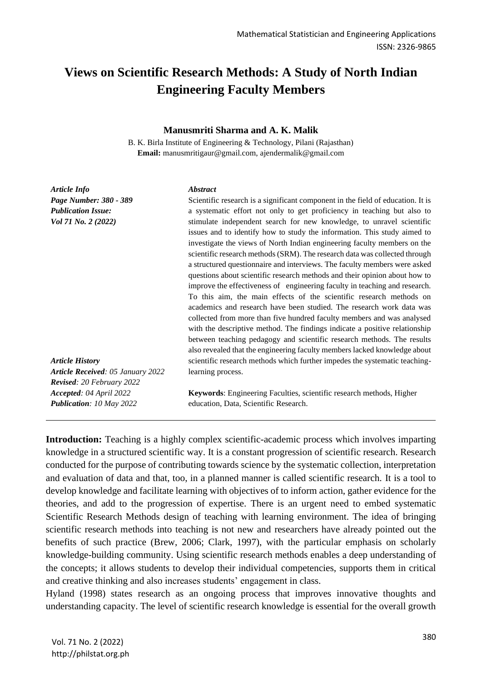# **Views on Scientific Research Methods: A Study of North Indian Engineering Faculty Members**

#### **Manusmriti Sharma and A. K. Malik**

B. K. Birla Institute of Engineering & Technology, Pilani (Rajasthan) **Email:** manusmritigaur@gmail.com, ajendermalik@gmail.com

*Article Info Page Number: 380 - 389 Publication Issue: Vol 71 No. 2 (2022)*

#### *Abstract*

Scientific research is a significant component in the field of education. It is a systematic effort not only to get proficiency in teaching but also to stimulate independent search for new knowledge, to unravel scientific issues and to identify how to study the information. This study aimed to investigate the views of North Indian engineering faculty members on the scientific research methods (SRM). The research data was collected through a structured questionnaire and interviews. The faculty members were asked questions about scientific research methods and their opinion about how to improve the effectiveness of engineering faculty in teaching and research. To this aim, the main effects of the scientific research methods on academics and research have been studied. The research work data was collected from more than five hundred faculty members and was analysed with the descriptive method. The findings indicate a positive relationship between teaching pedagogy and scientific research methods. The results also revealed that the engineering faculty members lacked knowledge about scientific research methods which further impedes the systematic teachinglearning process.

*Article History Article Received: 05 January 2022 Revised: 20 February 2022 Accepted: 04 April 2022 Publication: 10 May 2022*

**Keywords**: Engineering Faculties, scientific research methods, Higher education, Data, Scientific Research.

Introduction: Teaching is a highly complex scientific-academic process which involves imparting knowledge in a structured scientific way. It is a constant progression of scientific research. Research conducted for the purpose of contributing towards science by the systematic collection, interpretation and evaluation of data and that, too, in a planned manner is called scientific research. It is a tool to develop knowledge and facilitate learning with objectives of to inform action, gather evidence for the theories, and add to the progression of expertise. There is an urgent need to embed systematic Scientific Research Methods design of teaching with learning environment. The idea of bringing scientific research methods into teaching is not new and researchers have already pointed out the benefits of such practice (Brew, 2006; Clark, 1997), with the particular emphasis on scholarly knowledge-building community. Using scientific research methods enables a deep understanding of the concepts; it allows students to develop their individual competencies, supports them in critical and creative thinking and also increases students' engagement in class.

Hyland (1998) states research as an ongoing process that improves innovative thoughts and understanding capacity. The level of scientific research knowledge is essential for the overall growth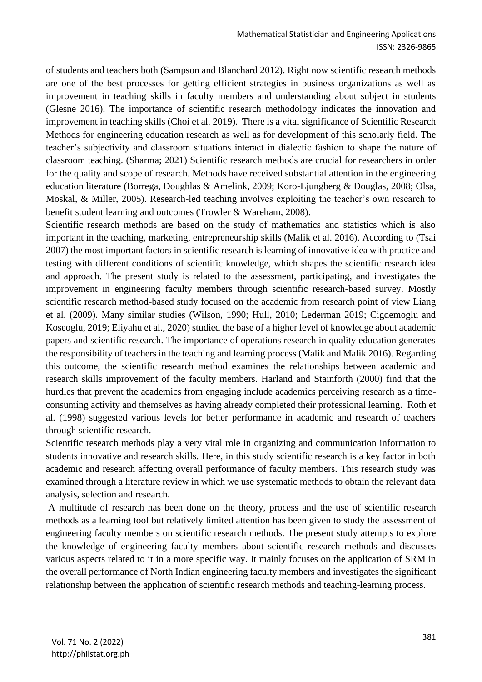of students and teachers both (Sampson and Blanchard 2012). Right now scientific research methods are one of the best processes for getting efficient strategies in business organizations as well as improvement in teaching skills in faculty members and understanding about subject in students (Glesne 2016). The importance of scientific research methodology indicates the innovation and improvement in teaching skills (Choi et al. 2019). There is a vital significance of Scientific Research Methods for engineering education research as well as for development of this scholarly field. The teacher's subjectivity and classroom situations interact in dialectic fashion to shape the nature of classroom teaching. (Sharma; 2021) Scientific research methods are crucial for researchers in order for the quality and scope of research. Methods have received substantial attention in the engineering education literature (Borrega, Doughlas & Amelink, 2009; Koro-Ljungberg & Douglas, 2008; Olsa, Moskal, & Miller, 2005). Research-led teaching involves exploiting the teacher's own research to benefit student learning and outcomes (Trowler & Wareham, 2008).

Scientific research methods are based on the study of mathematics and statistics which is also important in the teaching, marketing, entrepreneurship skills (Malik et al. 2016). According to (Tsai 2007) the most important factors in scientific research is learning of innovative idea with practice and testing with different conditions of scientific knowledge, which shapes the scientific research idea and approach. The present study is related to the assessment, participating, and investigates the improvement in engineering faculty members through scientific research-based survey. Mostly scientific research method-based study focused on the academic from research point of view Liang et al. (2009). Many similar studies (Wilson, 1990; Hull, 2010; Lederman 2019; Cigdemoglu and Koseoglu, 2019; Eliyahu et al., 2020) studied the base of a higher level of knowledge about academic papers and scientific research. The importance of operations research in quality education generates the responsibility of teachers in the teaching and learning process (Malik and Malik 2016). Regarding this outcome, the scientific research method examines the relationships between academic and research skills improvement of the faculty members. Harland and Stainforth (2000) find that the hurdles that prevent the academics from engaging include academics perceiving research as a timeconsuming activity and themselves as having already completed their professional learning. Roth et al. (1998) suggested various levels for better performance in academic and research of teachers through scientific research.

Scientific research methods play a very vital role in organizing and communication information to students innovative and research skills. Here, in this study scientific research is a key factor in both academic and research affecting overall performance of faculty members. This research study was examined through a literature review in which we use systematic methods to obtain the relevant data analysis, selection and research.

A multitude of research has been done on the theory, process and the use of scientific research methods as a learning tool but relatively limited attention has been given to study the assessment of engineering faculty members on scientific research methods. The present study attempts to explore the knowledge of engineering faculty members about scientific research methods and discusses various aspects related to it in a more specific way. It mainly focuses on the application of SRM in the overall performance of North Indian engineering faculty members and investigates the significant relationship between the application of scientific research methods and teaching-learning process.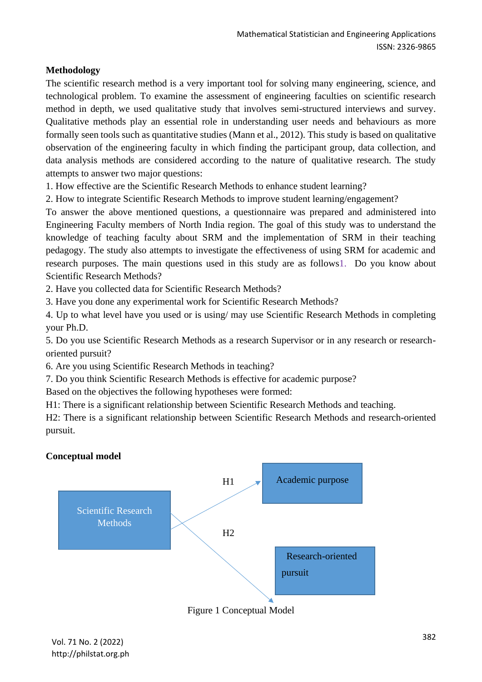# **Methodology**

The scientific research method is a very important tool for solving many engineering, science, and technological problem. To examine the assessment of engineering faculties on scientific research method in depth, we used qualitative study that involves semi-structured interviews and survey. Qualitative methods play an essential role in understanding user needs and behaviours as more formally seen tools such as quantitative studies (Mann et al., 2012). This study is based on qualitative observation of the engineering faculty in which finding the participant group, data collection, and data analysis methods are considered according to the nature of qualitative research. The study attempts to answer two major questions:

1. How effective are the Scientific Research Methods to enhance student learning?

2. How to integrate Scientific Research Methods to improve student learning/engagement?

To answer the above mentioned questions, a questionnaire was prepared and administered into Engineering Faculty members of North India region. The goal of this study was to understand the knowledge of teaching faculty about SRM and the implementation of SRM in their teaching pedagogy. The study also attempts to investigate the effectiveness of using SRM for academic and research purposes. The main questions used in this study are as follows1. Do you know about Scientific Research Methods?

2. Have you collected data for Scientific Research Methods?

3. Have you done any experimental work for Scientific Research Methods?

4. Up to what level have you used or is using/ may use Scientific Research Methods in completing your Ph.D.

5. Do you use Scientific Research Methods as a research Supervisor or in any research or researchoriented pursuit?

6. Are you using Scientific Research Methods in teaching?

7. Do you think Scientific Research Methods is effective for academic purpose?

Based on the objectives the following hypotheses were formed:

H1: There is a significant relationship between Scientific Research Methods and teaching.

H2: There is a significant relationship between Scientific Research Methods and research-oriented pursuit.

## **Conceptual model**



Figure 1 Conceptual Model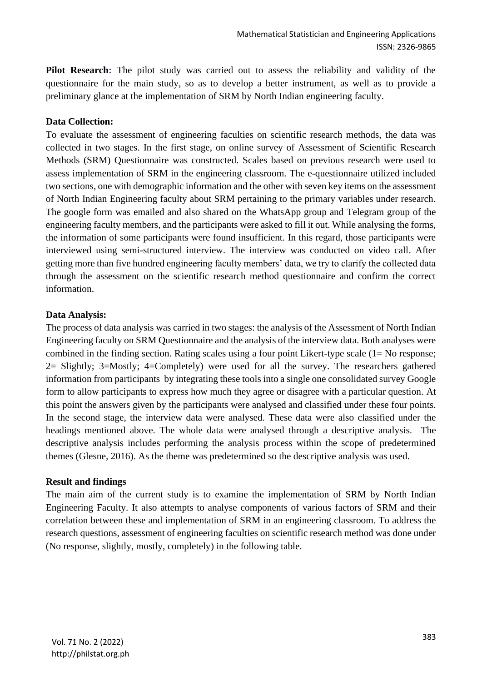**Pilot Research:** The pilot study was carried out to assess the reliability and validity of the questionnaire for the main study, so as to develop a better instrument, as well as to provide a preliminary glance at the implementation of SRM by North Indian engineering faculty.

#### **Data Collection:**

To evaluate the assessment of engineering faculties on scientific research methods, the data was collected in two stages. In the first stage, on online survey of Assessment of Scientific Research Methods (SRM) Questionnaire was constructed. Scales based on previous research were used to assess implementation of SRM in the engineering classroom. The e-questionnaire utilized included two sections, one with demographic information and the other with seven key items on the assessment of North Indian Engineering faculty about SRM pertaining to the primary variables under research. The google form was emailed and also shared on the WhatsApp group and Telegram group of the engineering faculty members, and the participants were asked to fill it out. While analysing the forms, the information of some participants were found insufficient. In this regard, those participants were interviewed using semi-structured interview. The interview was conducted on video call. After getting more than five hundred engineering faculty members' data, we try to clarify the collected data through the assessment on the scientific research method questionnaire and confirm the correct information.

#### **Data Analysis:**

The process of data analysis was carried in two stages: the analysis of the Assessment of North Indian Engineering faculty on SRM Questionnaire and the analysis of the interview data. Both analyses were combined in the finding section. Rating scales using a four point Likert-type scale (1= No response; 2= Slightly; 3=Mostly; 4=Completely) were used for all the survey. The researchers gathered information from participants by integrating these tools into a single one consolidated survey Google form to allow participants to express how much they agree or disagree with a particular question. At this point the answers given by the participants were analysed and classified under these four points. In the second stage, the interview data were analysed. These data were also classified under the headings mentioned above. The whole data were analysed through a descriptive analysis. The descriptive analysis includes performing the analysis process within the scope of predetermined themes (Glesne, 2016). As the theme was predetermined so the descriptive analysis was used.

#### **Result and findings**

The main aim of the current study is to examine the implementation of SRM by North Indian Engineering Faculty. It also attempts to analyse components of various factors of SRM and their correlation between these and implementation of SRM in an engineering classroom. To address the research questions, assessment of engineering faculties on scientific research method was done under (No response, slightly, mostly, completely) in the following table.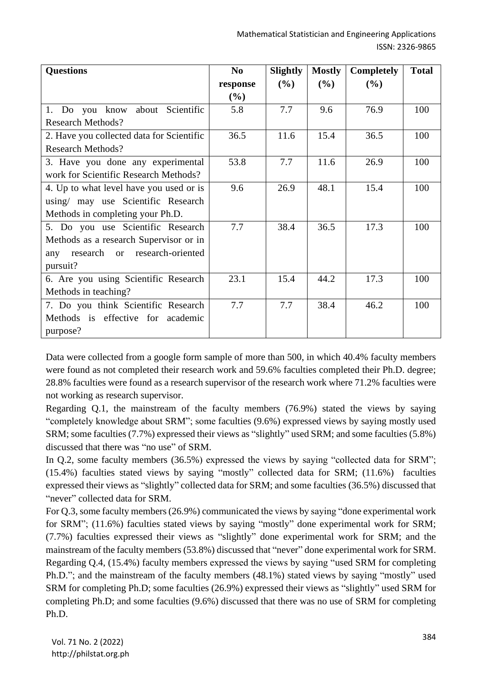| <b>Questions</b>                          | N <sub>0</sub> | Slightly | <b>Mostly</b> | <b>Completely</b> | <b>Total</b> |
|-------------------------------------------|----------------|----------|---------------|-------------------|--------------|
|                                           | response       | (%)      | (%)           | (%)               |              |
|                                           | (%)            |          |               |                   |              |
| 1. Do you know<br>about Scientific        | 5.8            | 7.7      | 9.6           | 76.9              | 100          |
| <b>Research Methods?</b>                  |                |          |               |                   |              |
| 2. Have you collected data for Scientific | 36.5           | 11.6     | 15.4          | 36.5              | 100          |
| <b>Research Methods?</b>                  |                |          |               |                   |              |
| 3. Have you done any experimental         | 53.8           | 7.7      | 11.6          | 26.9              | 100          |
| work for Scientific Research Methods?     |                |          |               |                   |              |
| 4. Up to what level have you used or is   | 9.6            | 26.9     | 48.1          | 15.4              | 100          |
| using/ may use Scientific Research        |                |          |               |                   |              |
| Methods in completing your Ph.D.          |                |          |               |                   |              |
| 5. Do you use Scientific Research         | 7.7            | 38.4     | 36.5          | 17.3              | 100          |
| Methods as a research Supervisor or in    |                |          |               |                   |              |
| research or research-oriented<br>any      |                |          |               |                   |              |
| pursuit?                                  |                |          |               |                   |              |
| 6. Are you using Scientific Research      | 23.1           | 15.4     | 44.2          | 17.3              | 100          |
| Methods in teaching?                      |                |          |               |                   |              |
| 7. Do you think Scientific Research       | 7.7            | 7.7      | 38.4          | 46.2              | 100          |
| Methods is effective for academic         |                |          |               |                   |              |
| purpose?                                  |                |          |               |                   |              |

Data were collected from a google form sample of more than 500, in which 40.4% faculty members were found as not completed their research work and 59.6% faculties completed their Ph.D. degree; 28.8% faculties were found as a research supervisor of the research work where 71.2% faculties were not working as research supervisor.

Regarding Q.1, the mainstream of the faculty members (76.9%) stated the views by saying "completely knowledge about SRM"; some faculties (9.6%) expressed views by saying mostly used SRM; some faculties (7.7%) expressed their views as "slightly" used SRM; and some faculties (5.8%) discussed that there was "no use" of SRM.

In Q.2, some faculty members (36.5%) expressed the views by saying "collected data for SRM"; (15.4%) faculties stated views by saying "mostly" collected data for SRM; (11.6%) faculties expressed their views as "slightly" collected data for SRM; and some faculties (36.5%) discussed that "never" collected data for SRM.

For Q.3, some faculty members (26.9%) communicated the views by saying "done experimental work for SRM"; (11.6%) faculties stated views by saying "mostly" done experimental work for SRM; (7.7%) faculties expressed their views as "slightly" done experimental work for SRM; and the mainstream of the faculty members (53.8%) discussed that "never" done experimental work for SRM. Regarding Q.4, (15.4%) faculty members expressed the views by saying "used SRM for completing Ph.D."; and the mainstream of the faculty members (48.1%) stated views by saying "mostly" used SRM for completing Ph.D; some faculties (26.9%) expressed their views as "slightly" used SRM for completing Ph.D; and some faculties (9.6%) discussed that there was no use of SRM for completing Ph.D.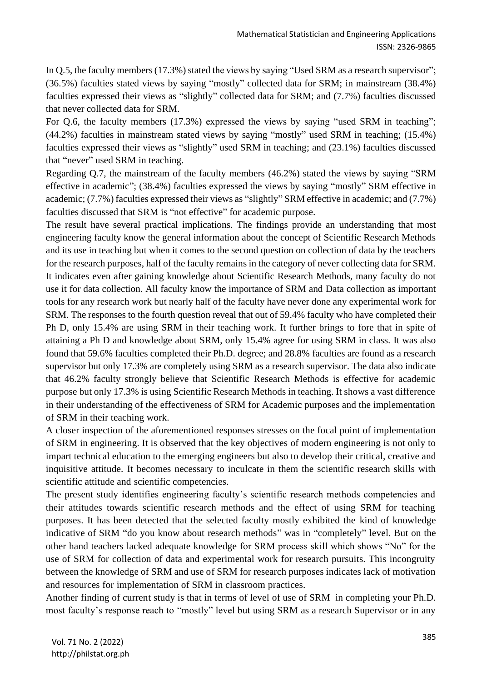In Q.5, the faculty members (17.3%) stated the views by saying "Used SRM as a research supervisor"; (36.5%) faculties stated views by saying "mostly" collected data for SRM; in mainstream (38.4%) faculties expressed their views as "slightly" collected data for SRM; and (7.7%) faculties discussed that never collected data for SRM.

For Q.6, the faculty members (17.3%) expressed the views by saying "used SRM in teaching"; (44.2%) faculties in mainstream stated views by saying "mostly" used SRM in teaching; (15.4%) faculties expressed their views as "slightly" used SRM in teaching; and (23.1%) faculties discussed that "never" used SRM in teaching.

Regarding Q.7, the mainstream of the faculty members (46.2%) stated the views by saying "SRM effective in academic"; (38.4%) faculties expressed the views by saying "mostly" SRM effective in academic; (7.7%) faculties expressed their views as "slightly" SRM effective in academic; and (7.7%) faculties discussed that SRM is "not effective" for academic purpose.

The result have several practical implications. The findings provide an understanding that most engineering faculty know the general information about the concept of Scientific Research Methods and its use in teaching but when it comes to the second question on collection of data by the teachers for the research purposes, half of the faculty remains in the category of never collecting data for SRM. It indicates even after gaining knowledge about Scientific Research Methods, many faculty do not use it for data collection. All faculty know the importance of SRM and Data collection as important tools for any research work but nearly half of the faculty have never done any experimental work for SRM. The responses to the fourth question reveal that out of 59.4% faculty who have completed their Ph D, only 15.4% are using SRM in their teaching work. It further brings to fore that in spite of attaining a Ph D and knowledge about SRM, only 15.4% agree for using SRM in class. It was also found that 59.6% faculties completed their Ph.D. degree; and 28.8% faculties are found as a research supervisor but only 17.3% are completely using SRM as a research supervisor. The data also indicate that 46.2% faculty strongly believe that Scientific Research Methods is effective for academic purpose but only 17.3% is using Scientific Research Methods in teaching. It shows a vast difference in their understanding of the effectiveness of SRM for Academic purposes and the implementation of SRM in their teaching work.

A closer inspection of the aforementioned responses stresses on the focal point of implementation of SRM in engineering. It is observed that the key objectives of modern engineering is not only to impart technical education to the emerging engineers but also to develop their critical, creative and inquisitive attitude. It becomes necessary to inculcate in them the scientific research skills with scientific attitude and scientific competencies.

The present study identifies engineering faculty's scientific research methods competencies and their attitudes towards scientific research methods and the effect of using SRM for teaching purposes. It has been detected that the selected faculty mostly exhibited the kind of knowledge indicative of SRM "do you know about research methods" was in "completely" level. But on the other hand teachers lacked adequate knowledge for SRM process skill which shows "No" for the use of SRM for collection of data and experimental work for research pursuits. This incongruity between the knowledge of SRM and use of SRM for research purposes indicates lack of motivation and resources for implementation of SRM in classroom practices.

Another finding of current study is that in terms of level of use of SRM in completing your Ph.D. most faculty's response reach to "mostly" level but using SRM as a research Supervisor or in any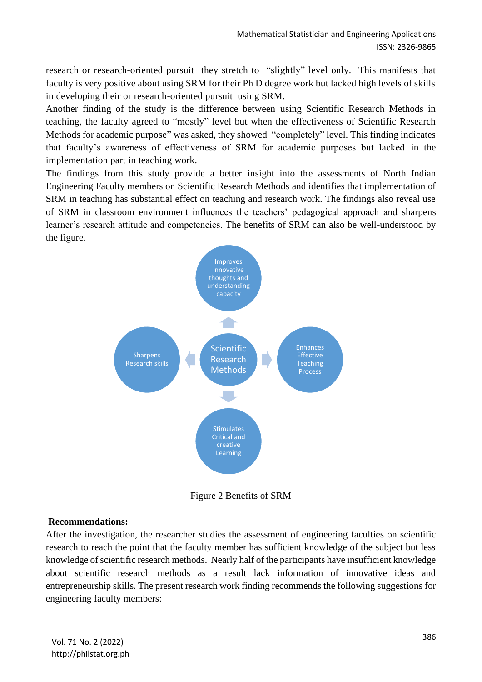research or research-oriented pursuit they stretch to "slightly" level only. This manifests that faculty is very positive about using SRM for their Ph D degree work but lacked high levels of skills in developing their or research-oriented pursuit using SRM.

Another finding of the study is the difference between using Scientific Research Methods in teaching, the faculty agreed to "mostly" level but when the effectiveness of Scientific Research Methods for academic purpose" was asked, they showed "completely" level. This finding indicates that faculty's awareness of effectiveness of SRM for academic purposes but lacked in the implementation part in teaching work.

The findings from this study provide a better insight into the assessments of North Indian Engineering Faculty members on Scientific Research Methods and identifies that implementation of SRM in teaching has substantial effect on teaching and research work. The findings also reveal use of SRM in classroom environment influences the teachers' pedagogical approach and sharpens learner's research attitude and competencies. The benefits of SRM can also be well-understood by the figure.



Figure 2 Benefits of SRM

#### **Recommendations:**

After the investigation, the researcher studies the assessment of engineering faculties on scientific research to reach the point that the faculty member has sufficient knowledge of the subject but less knowledge of scientific research methods. Nearly half of the participants have insufficient knowledge about scientific research methods as a result lack information of innovative ideas and entrepreneurship skills. The present research work finding recommends the following suggestions for engineering faculty members: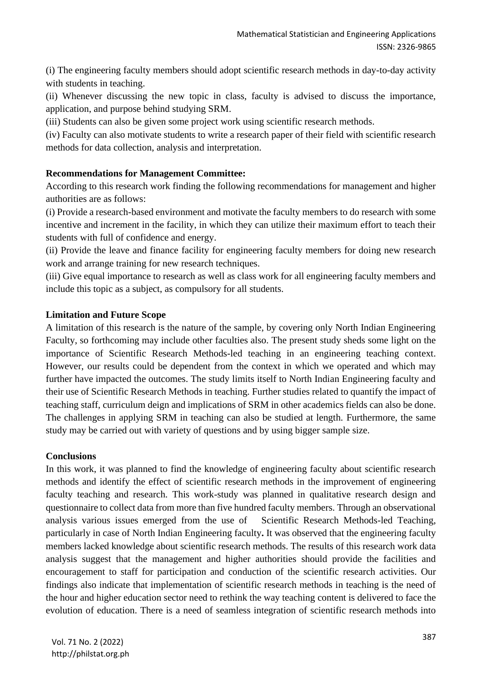(i) The engineering faculty members should adopt scientific research methods in day-to-day activity with students in teaching.

(ii) Whenever discussing the new topic in class, faculty is advised to discuss the importance, application, and purpose behind studying SRM.

(iii) Students can also be given some project work using scientific research methods.

(iv) Faculty can also motivate students to write a research paper of their field with scientific research methods for data collection, analysis and interpretation.

## **Recommendations for Management Committee:**

According to this research work finding the following recommendations for management and higher authorities are as follows:

(i) Provide a research-based environment and motivate the faculty members to do research with some incentive and increment in the facility, in which they can utilize their maximum effort to teach their students with full of confidence and energy.

(ii) Provide the leave and finance facility for engineering faculty members for doing new research work and arrange training for new research techniques.

(iii) Give equal importance to research as well as class work for all engineering faculty members and include this topic as a subject, as compulsory for all students.

#### **Limitation and Future Scope**

A limitation of this research is the nature of the sample, by covering only North Indian Engineering Faculty, so forthcoming may include other faculties also. The present study sheds some light on the importance of Scientific Research Methods-led teaching in an engineering teaching context. However, our results could be dependent from the context in which we operated and which may further have impacted the outcomes. The study limits itself to North Indian Engineering faculty and their use of Scientific Research Methods in teaching. Further studies related to quantify the impact of teaching staff, curriculum deign and implications of SRM in other academics fields can also be done. The challenges in applying SRM in teaching can also be studied at length. Furthermore, the same study may be carried out with variety of questions and by using bigger sample size.

#### **Conclusions**

In this work, it was planned to find the knowledge of engineering faculty about scientific research methods and identify the effect of scientific research methods in the improvement of engineering faculty teaching and research. This work-study was planned in qualitative research design and questionnaire to collect data from more than five hundred faculty members. Through an observational analysis various issues emerged from the use of Scientific Research Methods-led Teaching, particularly in case of North Indian Engineering faculty**.** It was observed that the engineering faculty members lacked knowledge about scientific research methods. The results of this research work data analysis suggest that the management and higher authorities should provide the facilities and encouragement to staff for participation and conduction of the scientific research activities. Our findings also indicate that implementation of scientific research methods in teaching is the need of the hour and higher education sector need to rethink the way teaching content is delivered to face the evolution of education. There is a need of seamless integration of scientific research methods into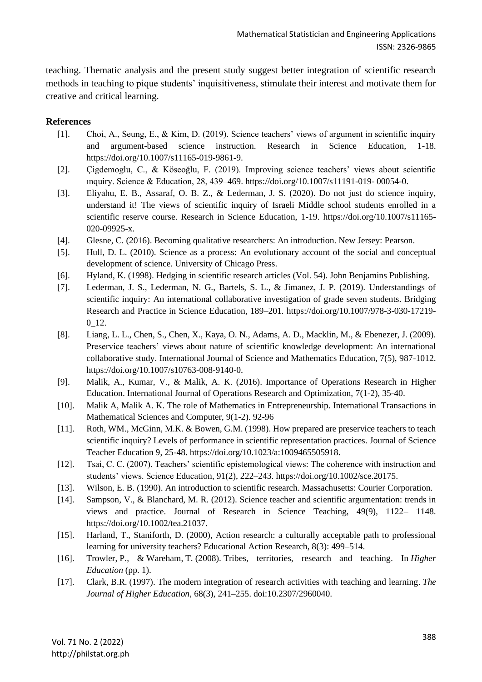teaching. Thematic analysis and the present study suggest better integration of scientific research methods in teaching to pique students' inquisitiveness, stimulate their interest and motivate them for creative and critical learning.

## **References**

- [1]. Choi, A., Seung, E., & Kim, D. (2019). Science teachers' views of argument in scientific inquiry and argument-based science instruction. Research in Science Education, 1-18. [https://doi.org/10.1007/s11165-019-9861-9.](https://doi.org/10.1007/s11165-019-9861-9)
- [2]. Çigdemoglu, C., & Köseoğlu, F. (2019). Improving science teachers' views about scientific ınquiry. Science & Education, 28, 439–469. https://doi.org/10.1007/s11191-019- 00054-0.
- [3]. Eliyahu, E. B., Assaraf, O. B. Z., & Lederman, J. S. (2020). Do not just do science inquiry, understand it! The views of scientific inquiry of Israeli Middle school students enrolled in a scientific reserve course. Research in Science Education, 1-19. https://doi.org/10.1007/s11165- 020-09925-x.
- [4]. Glesne, C. (2016). Becoming qualitative researchers: An introduction. New Jersey: Pearson.
- [5]. Hull, D. L. (2010). Science as a process: An evolutionary account of the social and conceptual development of science. University of Chicago Press.
- [6]. Hyland, K. (1998). Hedging in scientific research articles (Vol. 54). John Benjamins Publishing.
- [7]. Lederman, J. S., Lederman, N. G., Bartels, S. L., & Jimanez, J. P. (2019). Understandings of scientific inquiry: An international collaborative investigation of grade seven students. Bridging Research and Practice in Science Education, 189–201. https://doi.org/10.1007/978-3-030-17219- 0 12.
- [8]. Liang, L. L., Chen, S., Chen, X., Kaya, O. N., Adams, A. D., Macklin, M., & Ebenezer, J. (2009). Preservice teachers' views about nature of scientific knowledge development: An international collaborative study. International Journal of Science and Mathematics Education, 7(5), 987-1012. [https://doi.org/10.1007/s10763-008-9140-0.](https://doi.org/10.1007/s10763-008-9140-0)
- [9]. Malik, A., Kumar, V., & Malik, A. K. (2016). Importance of Operations Research in Higher Education. International Journal of Operations Research and Optimization, 7(1-2), 35-40.
- [10]. Malik A, Malik A. K. The role of Mathematics in Entrepreneurship. International Transactions in Mathematical Sciences and Computer, 9(1-2). 92-96
- [11]. Roth, WM., McGinn, M.K. & Bowen, G.M. (1998). How prepared are preservice teachers to teach scientific inquiry? Levels of performance in scientific representation practices. Journal of Science Teacher Education 9, 25-48. [https://doi.org/10.1023/a:1009465505918.](https://doi.org/10.1023/a:1009465505918)
- [12]. Tsai, C. C. (2007). Teachers' scientific epistemological views: The coherence with instruction and students' views. Science Education, 91(2), 222–243. https://doi.org/10.1002/sce.20175.
- [13]. Wilson, E. B. (1990). An introduction to scientific research. Massachusetts: Courier Corporation.
- [14]. Sampson, V., & Blanchard, M. R. (2012). Science teacher and scientific argumentation: trends in views and practice. Journal of Research in Science Teaching, 49(9), 1122– 1148. [https://doi.org/10.1002/tea.21037.](https://doi.org/10.1002/tea.21037)
- [15]. Harland, T., Staniforth, D. (2000), Action research: a culturally acceptable path to professional learning for university teachers? Educational Action Research, 8(3): 499–514.
- [16]. Trowler, P., & Wareham, T. (2008). Tribes, territories, research and teaching. In *Higher Education* (pp. 1).
- [17]. Clark, B.R. (1997). The modern integration of research activities with teaching and learning. *The Journal of Higher Education*, 68(3), 241–255. doi:10.2307/2960040.